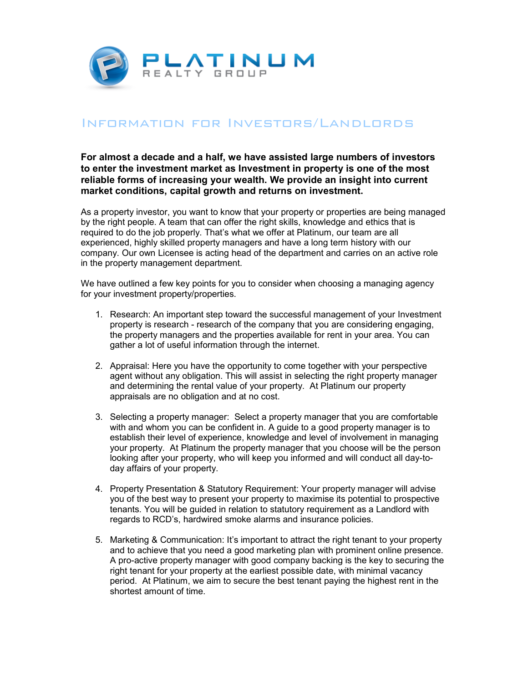

## Information for Investors/Landlords

**For almost a decade and a half, we have assisted large numbers of investors to enter the investment market as Investment in property is one of the most reliable forms of increasing your wealth. We provide an insight into current market conditions, capital growth and returns on investment.** 

As a property investor, you want to know that your property or properties are being managed by the right people. A team that can offer the right skills, knowledge and ethics that is required to do the job properly. That's what we offer at Platinum, our team are all experienced, highly skilled property managers and have a long term history with our company. Our own Licensee is acting head of the department and carries on an active role in the property management department.

We have outlined a few key points for you to consider when choosing a managing agency for your investment property/properties.

- 1. Research: An important step toward the successful management of your Investment property is research - research of the company that you are considering engaging, the property managers and the properties available for rent in your area. You can gather a lot of useful information through the internet.
- 2. Appraisal: Here you have the opportunity to come together with your perspective agent without any obligation. This will assist in selecting the right property manager and determining the rental value of your property. At Platinum our property appraisals are no obligation and at no cost.
- 3. Selecting a property manager: Select a property manager that you are comfortable with and whom you can be confident in. A guide to a good property manager is to establish their level of experience, knowledge and level of involvement in managing your property. At Platinum the property manager that you choose will be the person looking after your property, who will keep you informed and will conduct all day-today affairs of your property.
- 4. Property Presentation & Statutory Requirement: Your property manager will advise you of the best way to present your property to maximise its potential to prospective tenants. You will be guided in relation to statutory requirement as a Landlord with regards to RCD's, hardwired smoke alarms and insurance policies.
- 5. Marketing & Communication: It's important to attract the right tenant to your property and to achieve that you need a good marketing plan with prominent online presence. A pro-active property manager with good company backing is the key to securing the right tenant for your property at the earliest possible date, with minimal vacancy period. At Platinum, we aim to secure the best tenant paying the highest rent in the shortest amount of time.